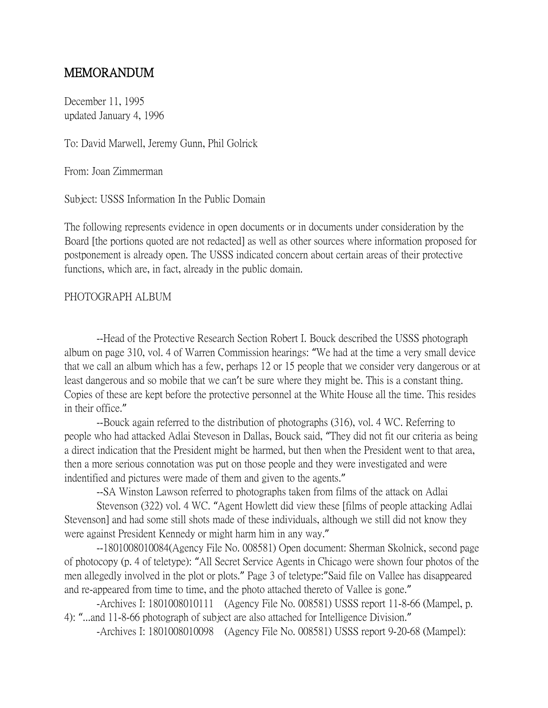## MEMORANDUM

December 11, 1995 updated January 4, 1996

To: David Marwell, Jeremy Gunn, Phil Golrick

From: Joan Zimmerman

Subject: USSS Information In the Public Domain

The following represents evidence in open documents or in documents under consideration by the Board [the portions quoted are not redacted] as well as other sources where information proposed for postponement is already open. The USSS indicated concern about certain areas of their protective functions, which are, in fact, already in the public domain.

## PHOTOGRAPH ALBUM

--Head of the Protective Research Section Robert I. Bouck described the USSS photograph album on page 310, vol. 4 of Warren Commission hearings: "We had at the time a very small device that we call an album which has a few, perhaps 12 or 15 people that we consider very dangerous or at least dangerous and so mobile that we can't be sure where they might be. This is a constant thing. Copies of these are kept before the protective personnel at the White House all the time. This resides in their office."

--Bouck again referred to the distribution of photographs (316), vol. 4 WC. Referring to people who had attacked Adlai Steveson in Dallas, Bouck said, "They did not fit our criteria as being a direct indication that the President might be harmed, but then when the President went to that area, then a more serious connotation was put on those people and they were investigated and were indentified and pictures were made of them and given to the agents."

--SA Winston Lawson referred to photographs taken from films of the attack on Adlai

Stevenson (322) vol. 4 WC. "Agent Howlett did view these [films of people attacking Adlai Stevenson] and had some still shots made of these individuals, although we still did not know they were against President Kennedy or might harm him in any way."

--1801008010084(Agency File No. 008581) Open document: Sherman Skolnick, second page of photocopy (p. 4 of teletype): "All Secret Service Agents in Chicago were shown four photos of the men allegedly involved in the plot or plots." Page 3 of teletype:"Said file on Vallee has disappeared and re-appeared from time to time, and the photo attached thereto of Vallee is gone."

-Archives I: 1801008010111 (Agency File No. 008581) USSS report 11-8-66 (Mampel, p. 4): "...and 11-8-66 photograph of subject are also attached for Intelligence Division."

-Archives I: 1801008010098 (Agency File No. 008581) USSS report 9-20-68 (Mampel):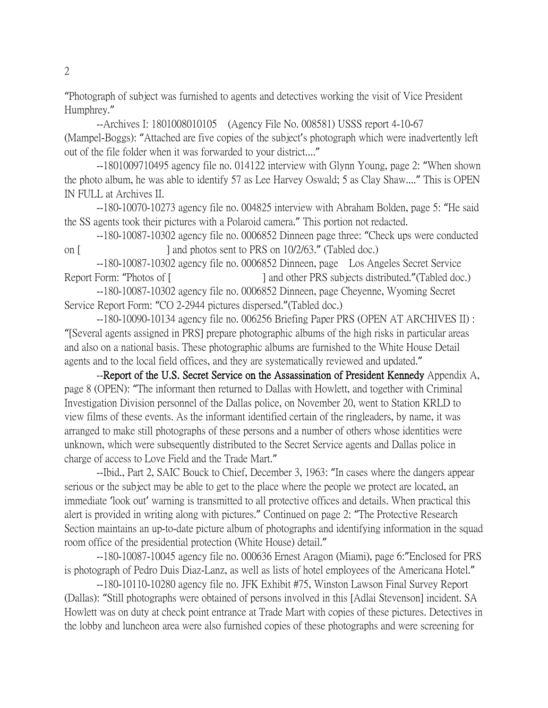"Photograph of subject was furnished to agents and detectives working the visit of Vice President Humphrey."

--Archives I: 1801008010105 (Agency File No. 008581) USSS report 4-10-67 (Mampel-Boggs): "Attached are five copies of the subject's photograph which were inadvertently left out of the file folder when it was forwarded to your district...."

--1801009710495 agency file no. 014122 interview with Glynn Young, page 2: "When shown the photo album, he was able to identify 57 as Lee Harvey Oswald; 5 as Clay Shaw...." This is OPEN IN FULL at Archives II.

--180-10070-10273 agency file no. 004825 interview with Abraham Bolden, page 5: "He said the SS agents took their pictures with a Polaroid camera." This portion not redacted.

--180-10087-10302 agency file no. 0006852 Dinneen page three: "Check ups were conducted on [ ] and photos sent to PRS on 10/2/63." (Tabled doc.)

--180-10087-10302 agency file no. 0006852 Dinneen, page Los Angeles Secret Service Report Form: "Photos of [ ] and other PRS subjects distributed." (Tabled doc.)

--180-10087-10302 agency file no. 0006852 Dinneen, page Cheyenne, Wyoming Secret Service Report Form: "CO 2-2944 pictures dispersed."(Tabled doc.)

--180-10090-10134 agency file no. 006256 Briefing Paper PRS (OPEN AT ARCHIVES II) : "[Several agents assigned in PRS] prepare photographic albums of the high risks in particular areas and also on a national basis. These photographic albums are furnished to the White House Detail agents and to the local field offices, and they are systematically reviewed and updated."

--Report of the U.S. Secret Service on the Assassination of President Kennedy Appendix A, page 8 (OPEN): "The informant then returned to Dallas with Howlett, and together with Criminal Investigation Division personnel of the Dallas police, on November 20, went to Station KRLD to view films of these events. As the informant identified certain of the ringleaders, by name, it was arranged to make still photographs of these persons and a number of others whose identities were unknown, which were subsequently distributed to the Secret Service agents and Dallas police in charge of access to Love Field and the Trade Mart."

--Ibid., Part 2, SAIC Bouck to Chief, December 3, 1963: "In cases where the dangers appear serious or the subject may be able to get to the place where the people we protect are located, an immediate 'look out' warning is transmitted to all protective offices and details. When practical this alert is provided in writing along with pictures." Continued on page 2: "The Protective Research Section maintains an up-to-date picture album of photographs and identifying information in the squad room office of the presidential protection (White House) detail."

--180-10087-10045 agency file no. 000636 Ernest Aragon (Miami), page 6:"Enclosed for PRS is photograph of Pedro Duis Diaz-Lanz, as well as lists of hotel employees of the Americana Hotel."

--180-10110-10280 agency file no. JFK Exhibit #75, Winston Lawson Final Survey Report (Dallas): "Still photographs were obtained of persons involved in this [Adlai Stevenson] incident. SA Howlett was on duty at check point entrance at Trade Mart with copies of these pictures. Detectives in the lobby and luncheon area were also furnished copies of these photographs and were screening for